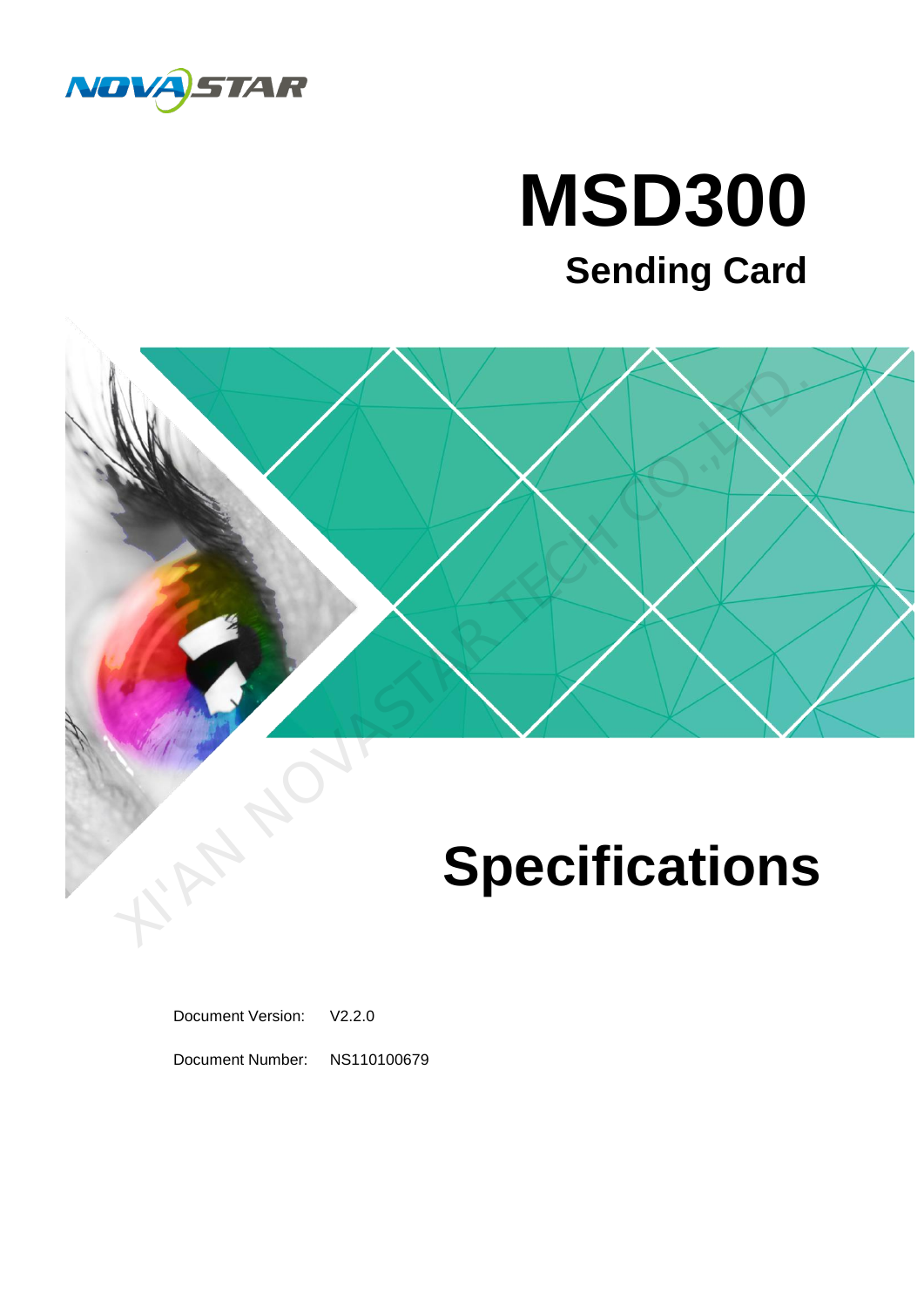

### **MSD300 Sending Card**



Document Version: V2.2.0

Document Number: NS110100679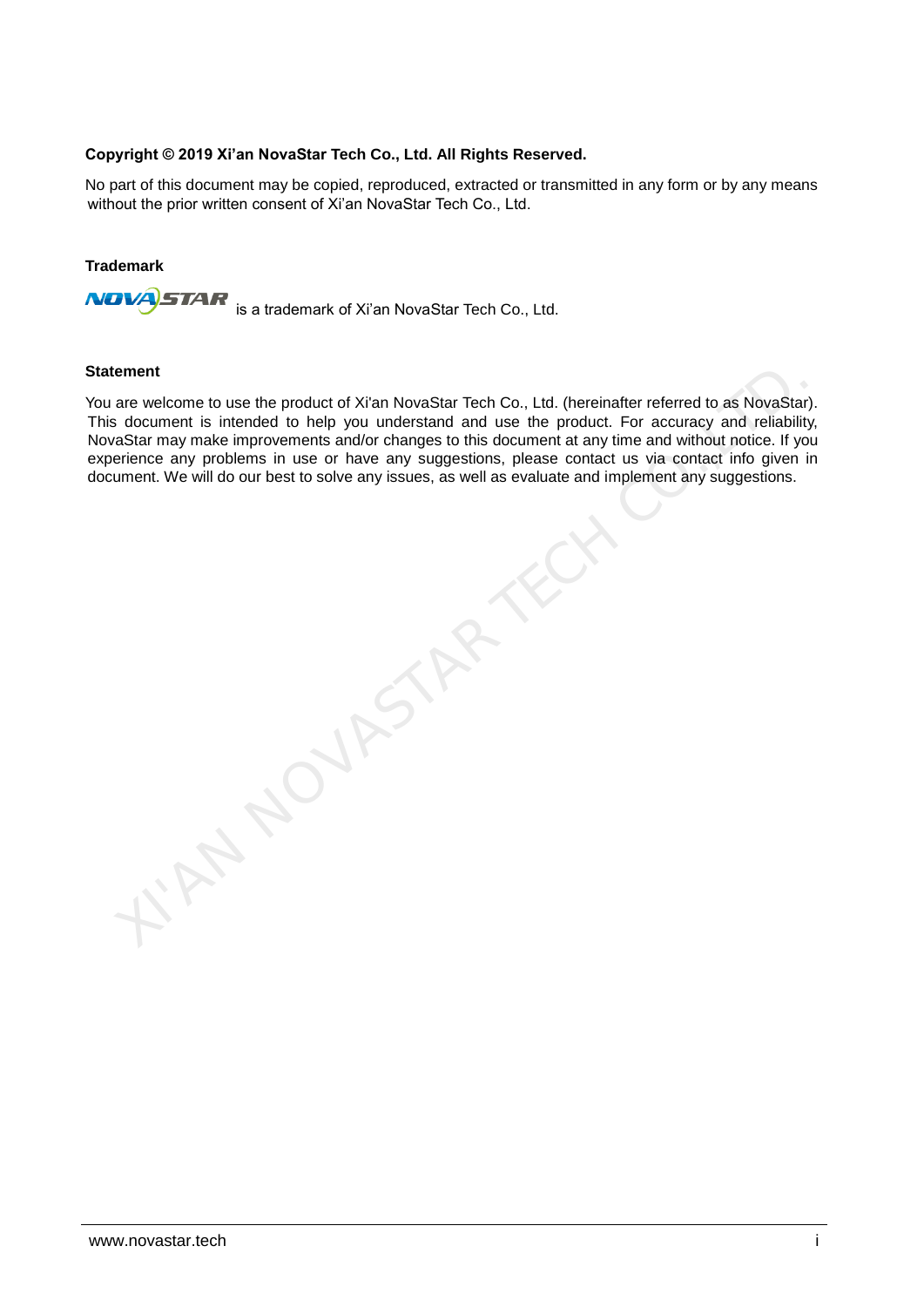### **Copyright © 2019 Xi'an NovaStar Tech Co., Ltd. All Rights Reserved.**

No part of this document may be copied, reproduced, extracted or transmitted in any form or by any means without the prior written consent of Xi'an NovaStar Tech Co., Ltd.

#### **Trademark**

**STAR NOVÁ** is a trademark of Xi'an NovaStar Tech Co., Ltd.

**NOVASTAR TE** 

#### **Statement**

You are welcome to use the product of Xi'an NovaStar Tech Co., Ltd. (hereinafter referred to as NovaStar). This document is intended to help you understand and use the product. For accuracy and reliability, NovaStar may make improvements and/or changes to this document at any time and without notice. If you experience any problems in use or have any suggestions, please contact us via contact info given in document. We will do our best to solve any issues, as well as evaluate and implement any suggestions.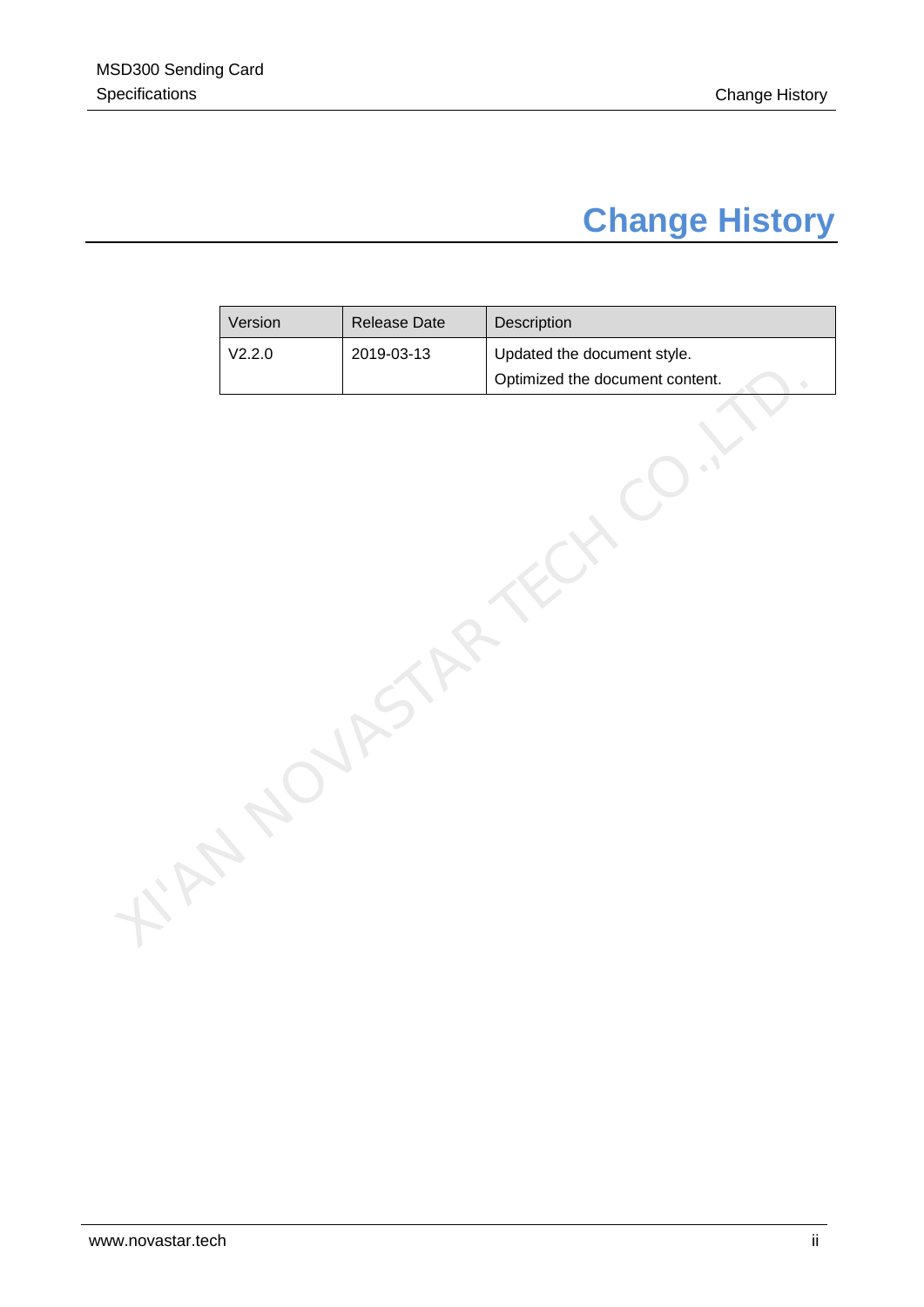### **Change History**

<span id="page-2-0"></span>

| V2.2.0<br>2019-03-13<br>Updated the document style.<br>Optimized the document content. |
|----------------------------------------------------------------------------------------|
|                                                                                        |
|                                                                                        |
|                                                                                        |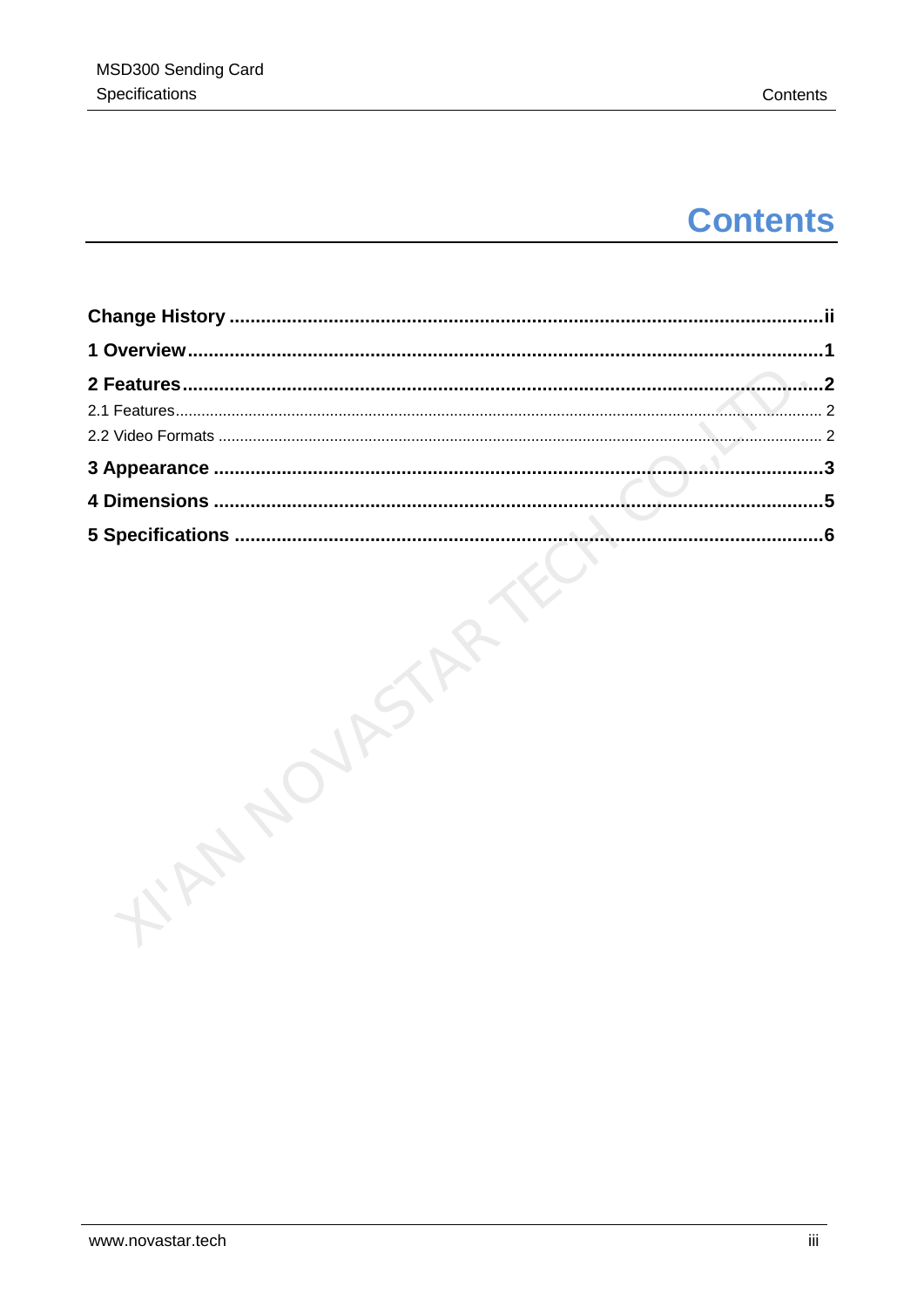### **Contents**

| .2         |
|------------|
| $\cdot$ 2  |
| 2          |
| $\cdot$ .3 |
| .5         |
| 6          |
|            |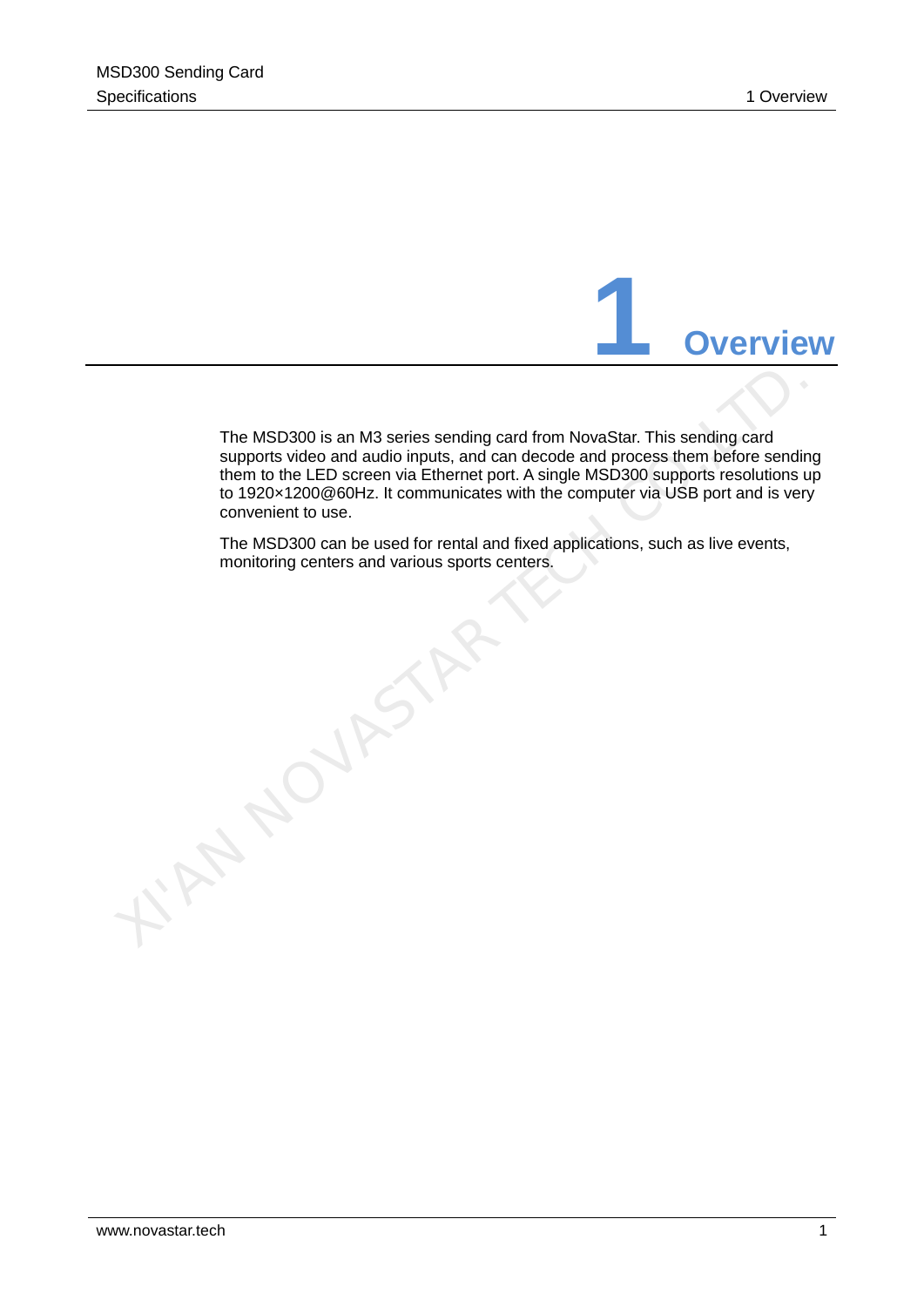

<span id="page-4-0"></span>The MSD300 is an M3 series sending card from NovaStar. This sending card supports video and audio inputs, and can decode and process them before sending them to the LED screen via Ethernet port. A single MSD300 supports resolutions up to 1920×1200@60Hz. It communicates with the computer via USB port and is very convenient to use.

The MSD300 can be used for rental and fixed applications, such as live events, monitoring centers and various sports centers.

TAN NOVASTAR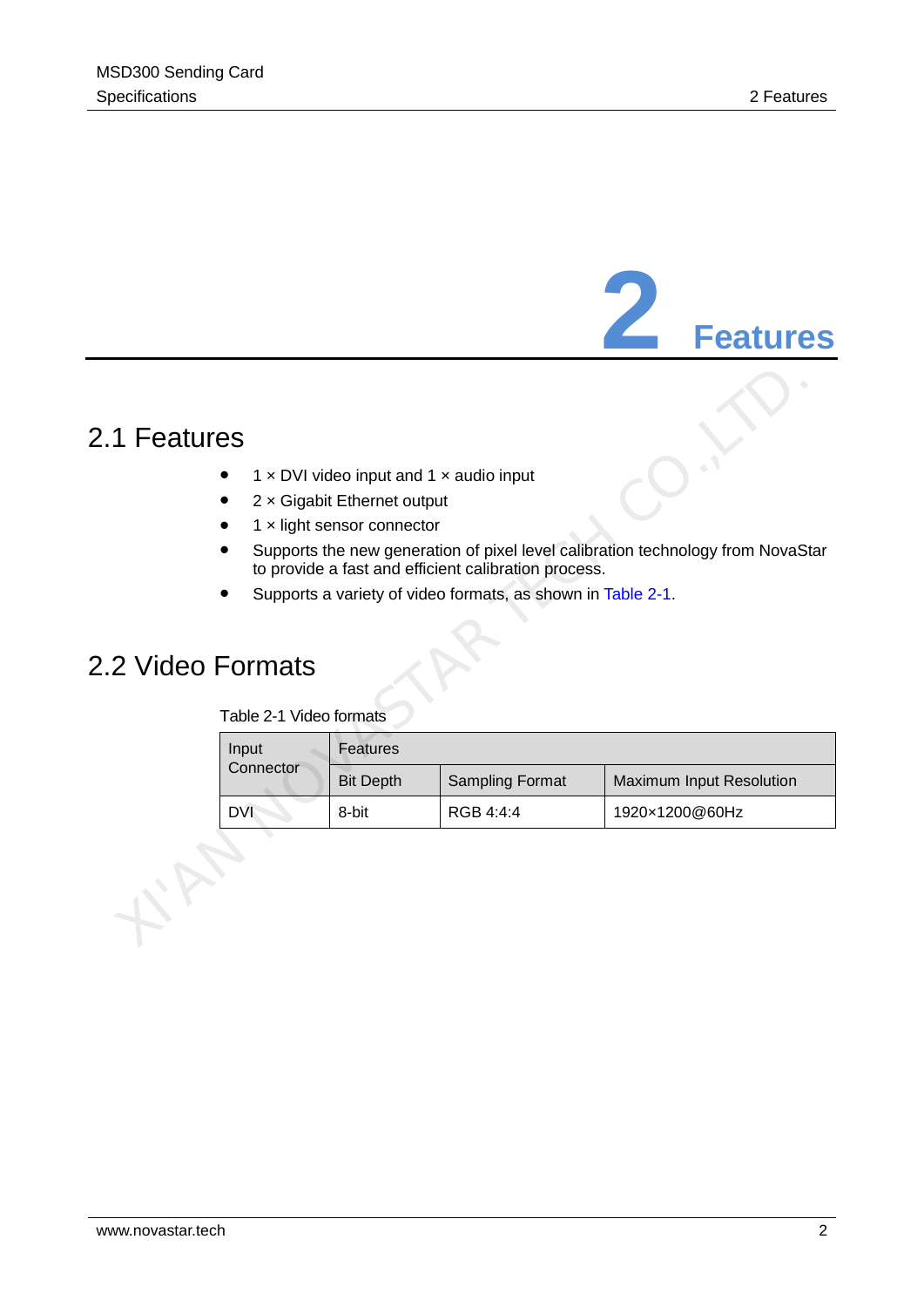## **2 Features**

### <span id="page-5-1"></span>2.1 Features

- 1  $\times$  DVI video input and 1  $\times$  audio input
- 2 x Gigabit Ethernet output
- $\bullet$  1  $\times$  light sensor connector
- Supports the new generation of pixel level calibration technology from NovaStar to provide a fast and efficient calibration process.
- Supports a variety of video formats, as shown in Table 2-1.

### <span id="page-5-3"></span><span id="page-5-2"></span>2.2 Video Formats

|  | Table 2-1 Video formats |
|--|-------------------------|
|--|-------------------------|

<span id="page-5-0"></span>

| 1 Features      |                         |                                                                                                                                  |                                                                                                                     |                                                                                 |
|-----------------|-------------------------|----------------------------------------------------------------------------------------------------------------------------------|---------------------------------------------------------------------------------------------------------------------|---------------------------------------------------------------------------------|
| 2 Video Formats | Table 2-1 Video formats | $1 \times$ DVI video input and $1 \times$ audio input<br>$2 \times$ Gigabit Ethernet output<br>$1 \times$ light sensor connector | to provide a fast and efficient calibration process.<br>Supports a variety of video formats, as shown in Table 2-1. | Supports the new generation of pixel level calibration technology from NovaStar |
|                 | Input                   | Features                                                                                                                         |                                                                                                                     |                                                                                 |
|                 | Connector               | <b>Bit Depth</b>                                                                                                                 | <b>Sampling Format</b>                                                                                              | Maximum Input Resolution                                                        |
|                 | <b>DVI</b>              | 8-bit                                                                                                                            | RGB 4:4:4                                                                                                           | 1920×1200@60Hz                                                                  |
|                 |                         |                                                                                                                                  |                                                                                                                     |                                                                                 |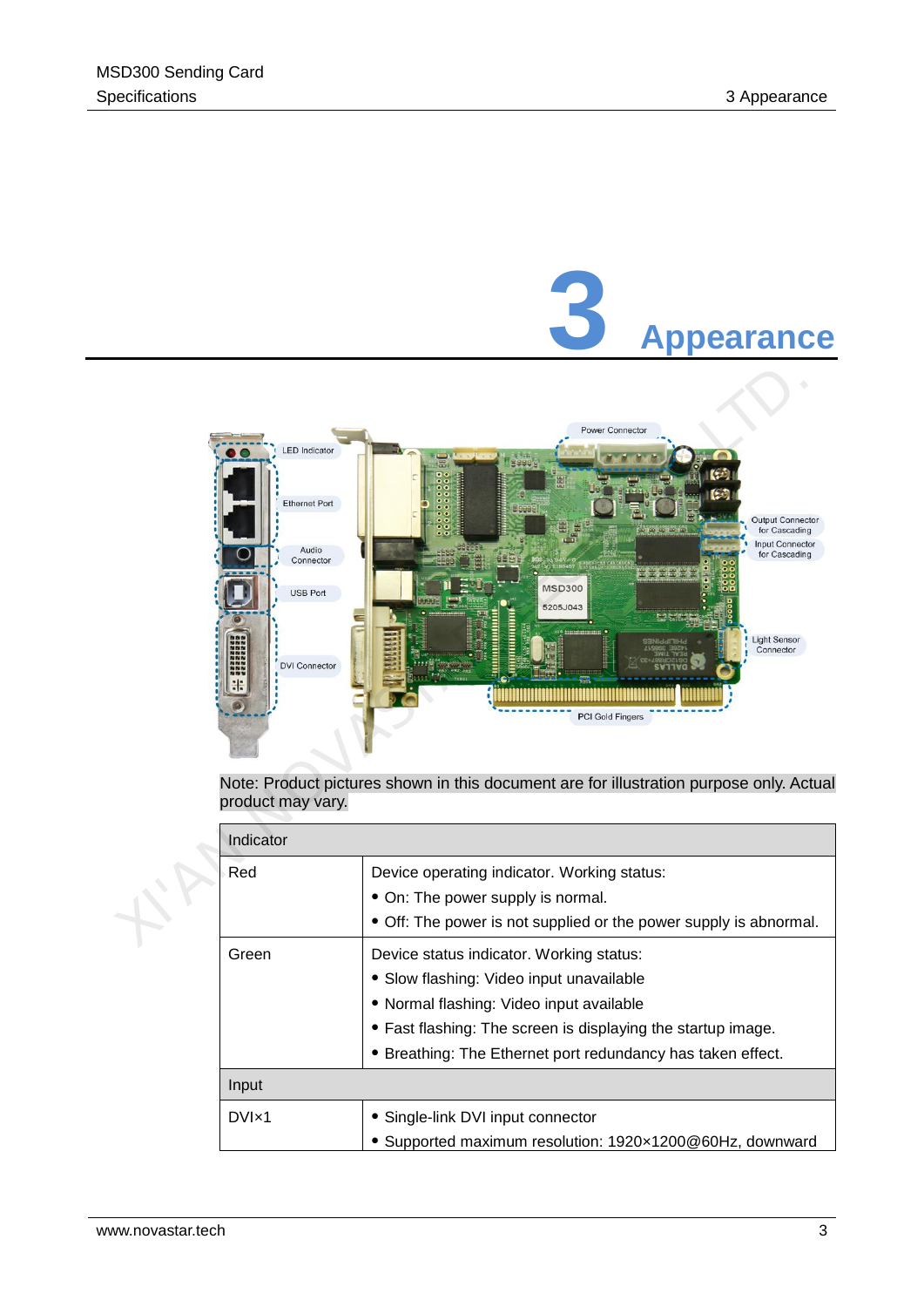<span id="page-6-0"></span>

Note: Product pictures shown in this document are for illustration purpose only. Actual product may vary.

| Indicator      |                                                                   |
|----------------|-------------------------------------------------------------------|
| Red            | Device operating indicator. Working status:                       |
|                | • On: The power supply is normal.                                 |
|                | • Off: The power is not supplied or the power supply is abnormal. |
| Green          | Device status indicator. Working status:                          |
|                | • Slow flashing: Video input unavailable                          |
|                | • Normal flashing: Video input available                          |
|                | • Fast flashing: The screen is displaying the startup image.      |
|                | • Breathing: The Ethernet port redundancy has taken effect.       |
| Input          |                                                                   |
| $DVI \times 1$ | • Single-link DVI input connector                                 |
|                | • Supported maximum resolution: 1920x1200@60Hz, downward          |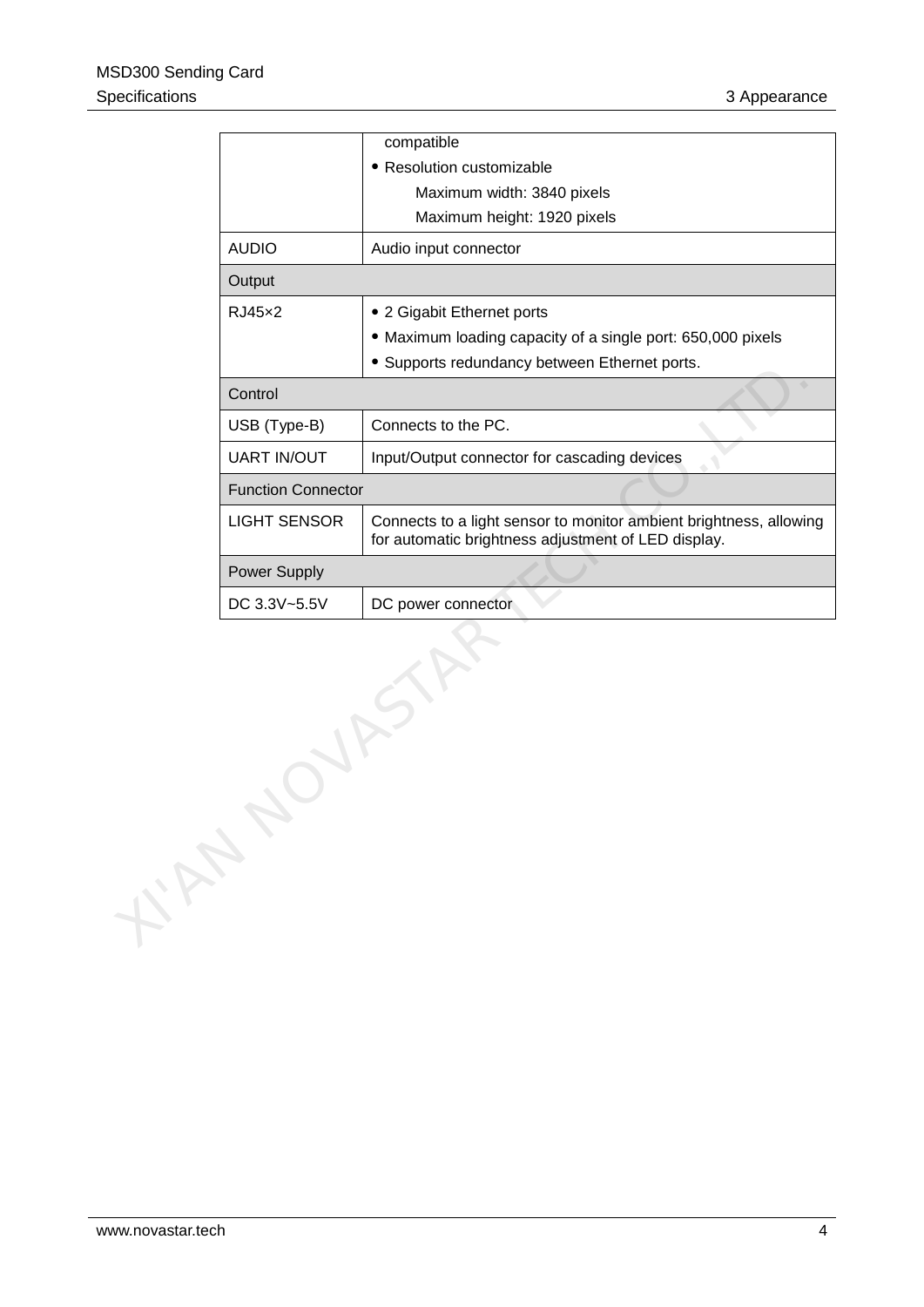| compatible                                                                                                                |
|---------------------------------------------------------------------------------------------------------------------------|
| • Resolution customizable                                                                                                 |
| Maximum width: 3840 pixels                                                                                                |
| Maximum height: 1920 pixels                                                                                               |
| Audio input connector                                                                                                     |
|                                                                                                                           |
| • 2 Gigabit Ethernet ports                                                                                                |
| • Maximum loading capacity of a single port: 650,000 pixels                                                               |
| • Supports redundancy between Ethernet ports.                                                                             |
|                                                                                                                           |
| Connects to the PC.                                                                                                       |
| Input/Output connector for cascading devices                                                                              |
| <b>Function Connector</b>                                                                                                 |
| Connects to a light sensor to monitor ambient brightness, allowing<br>for automatic brightness adjustment of LED display. |
|                                                                                                                           |
| DC power connector                                                                                                        |
|                                                                                                                           |
|                                                                                                                           |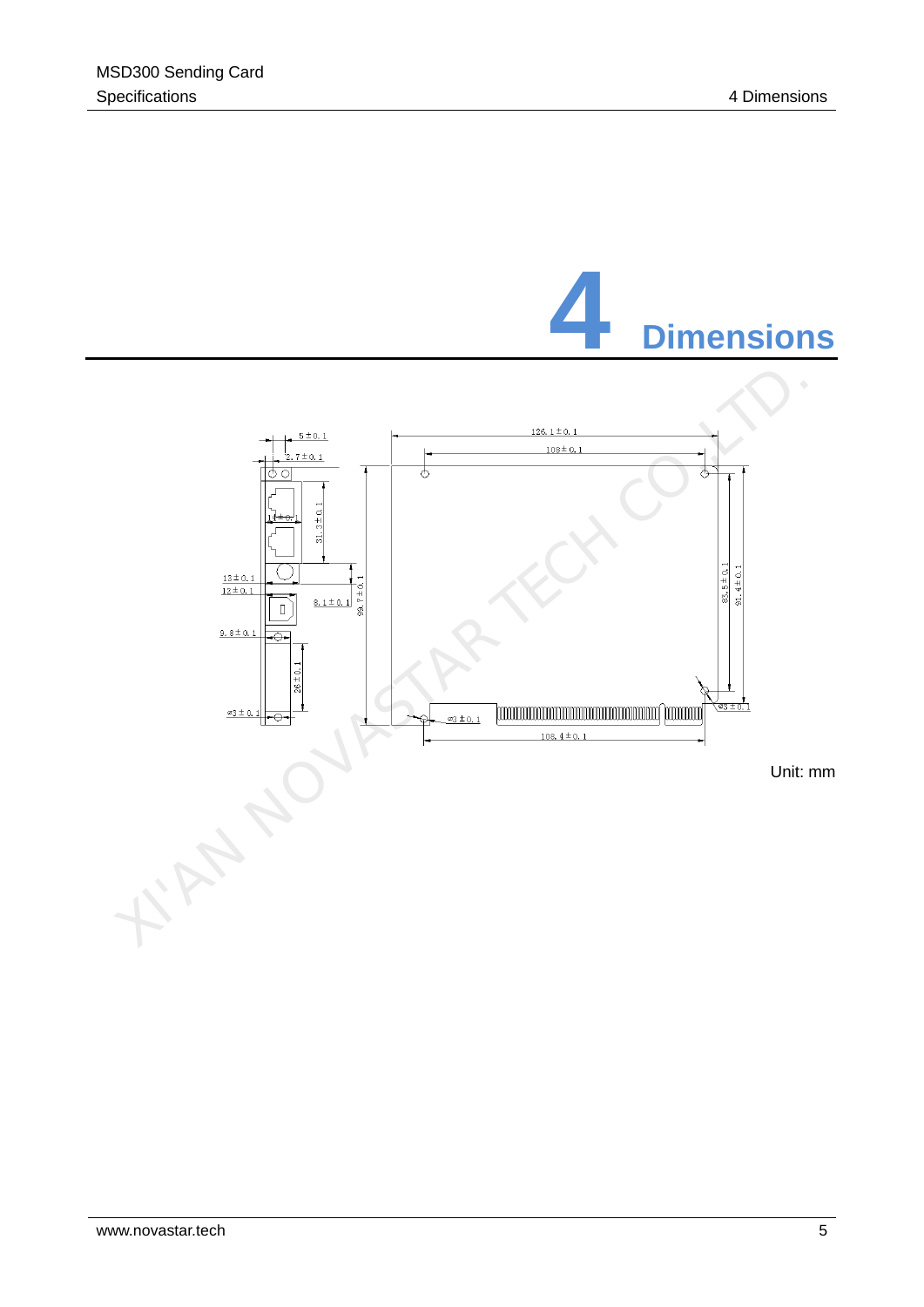<span id="page-8-0"></span>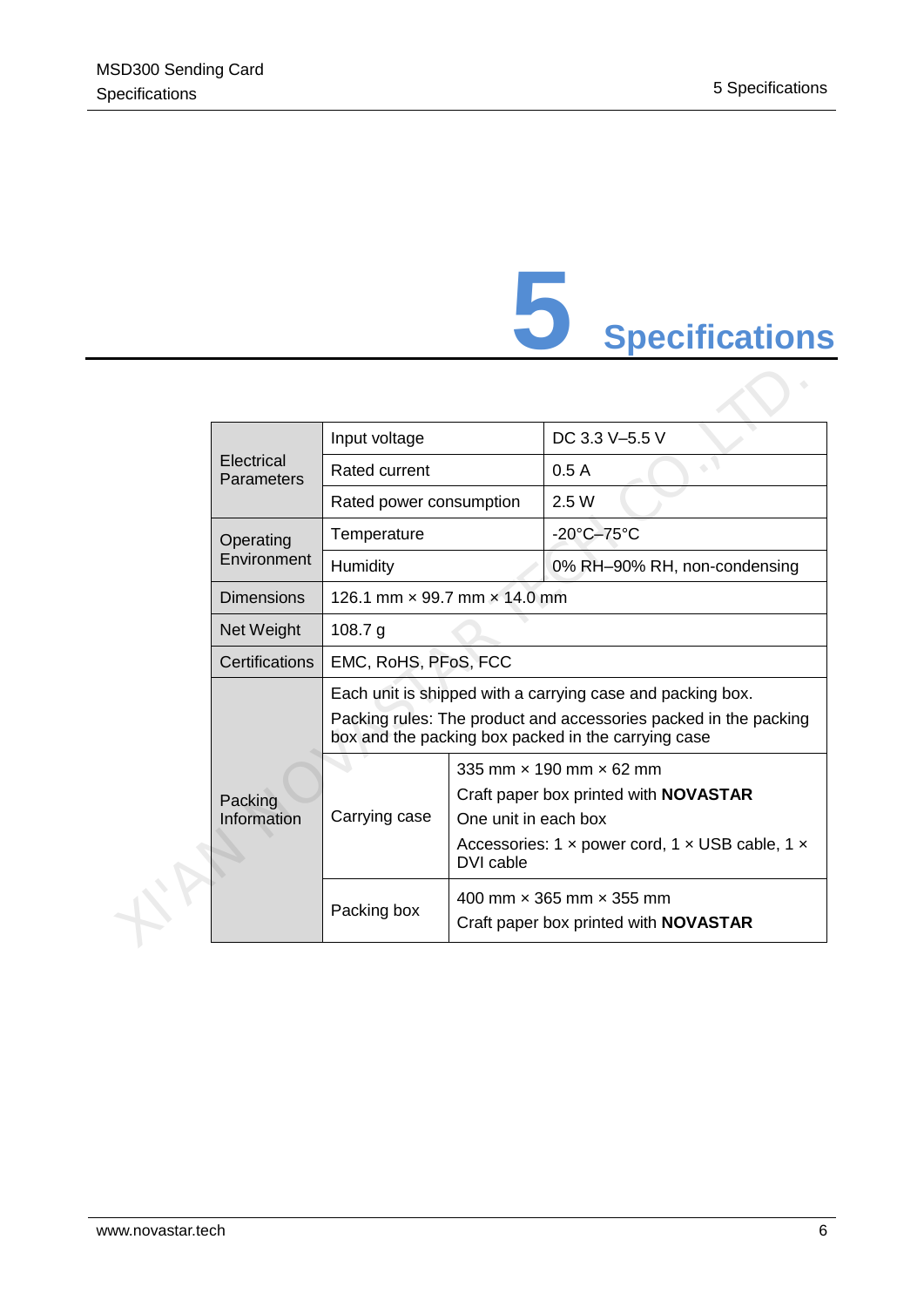# **5 Specifications**

<span id="page-9-0"></span>

|  | Electrical<br>Parameters | Input voltage                                                                                                                                                                         |                                                                                                                                                                                                    | DC 3.3 V-5.5 V                  |
|--|--------------------------|---------------------------------------------------------------------------------------------------------------------------------------------------------------------------------------|----------------------------------------------------------------------------------------------------------------------------------------------------------------------------------------------------|---------------------------------|
|  |                          | Rated current                                                                                                                                                                         |                                                                                                                                                                                                    | 0.5A                            |
|  |                          | Rated power consumption                                                                                                                                                               |                                                                                                                                                                                                    | 2.5 W                           |
|  | Operating                | Temperature                                                                                                                                                                           |                                                                                                                                                                                                    | $-20^{\circ}$ C $-75^{\circ}$ C |
|  | Environment<br>Humidity  |                                                                                                                                                                                       |                                                                                                                                                                                                    | 0% RH-90% RH, non-condensing    |
|  | <b>Dimensions</b>        | 126.1 mm $\times$ 99.7 mm $\times$ 14.0 mm                                                                                                                                            |                                                                                                                                                                                                    |                                 |
|  | Net Weight               | 108.7 $g$                                                                                                                                                                             |                                                                                                                                                                                                    |                                 |
|  | Certifications           | EMC, RoHS, PFoS, FCC                                                                                                                                                                  |                                                                                                                                                                                                    |                                 |
|  |                          | Each unit is shipped with a carrying case and packing box.<br>Packing rules: The product and accessories packed in the packing<br>box and the packing box packed in the carrying case |                                                                                                                                                                                                    |                                 |
|  | Packing<br>Information   | Carrying case                                                                                                                                                                         | 335 mm $\times$ 190 mm $\times$ 62 mm<br>Craft paper box printed with <b>NOVASTAR</b><br>One unit in each box<br>Accessories: 1 $\times$ power cord, 1 $\times$ USB cable, 1 $\times$<br>DVI cable |                                 |
|  |                          | Packing box                                                                                                                                                                           | 400 mm × 365 mm × 355 mm<br>Craft paper box printed with <b>NOVASTAR</b>                                                                                                                           |                                 |